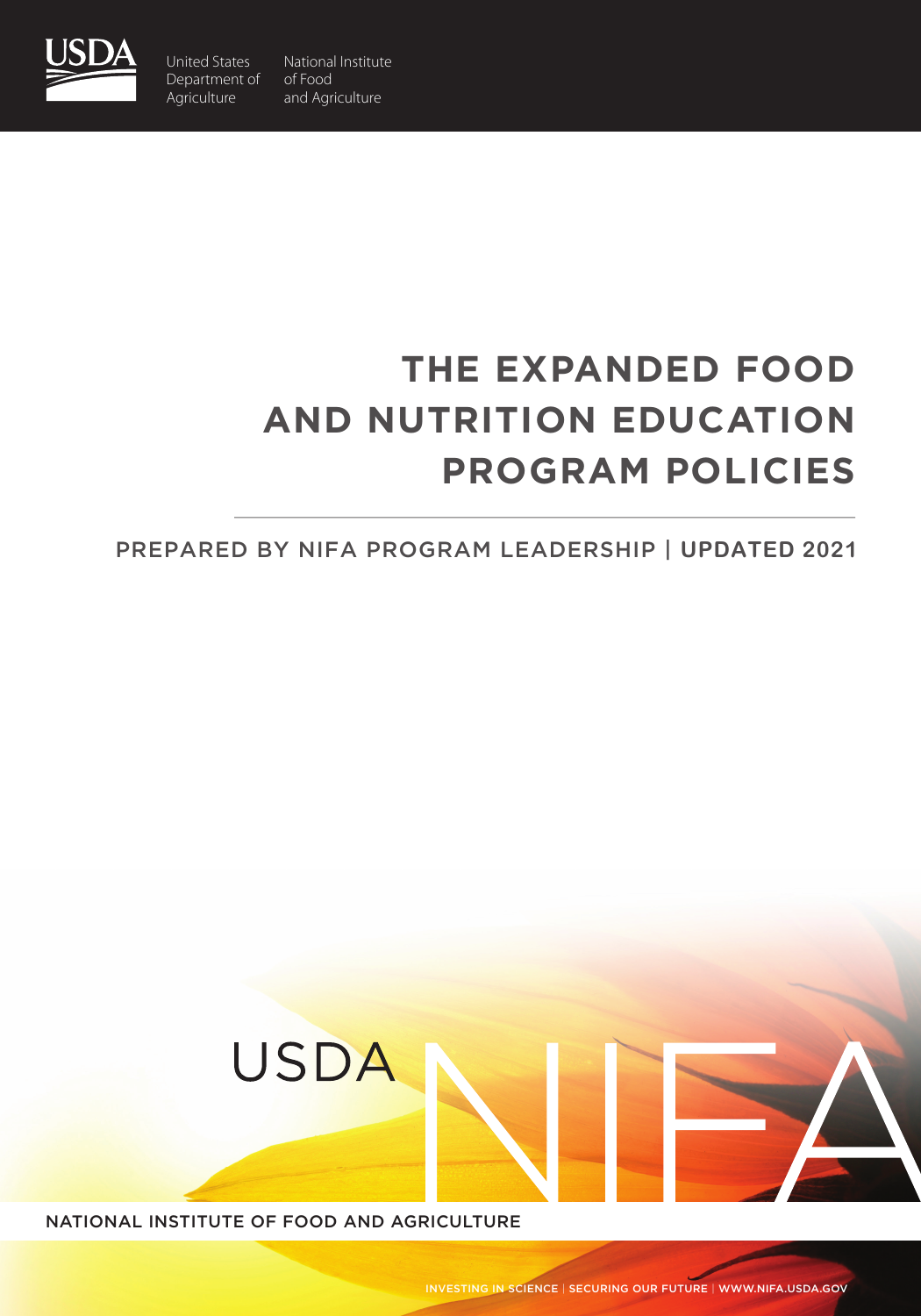

United States Department of **Agriculture** 

#### National Institute of Food and Agriculture

## **The expanded Food and nuTriTion educaTion program policies**

prepared by NIFa program leadershIp | **UPDATED 2021**



USDA

INVestINg IN sCIeNCe | seCUrINg oUr FUtUre | WWW.NIFa.Usda.goV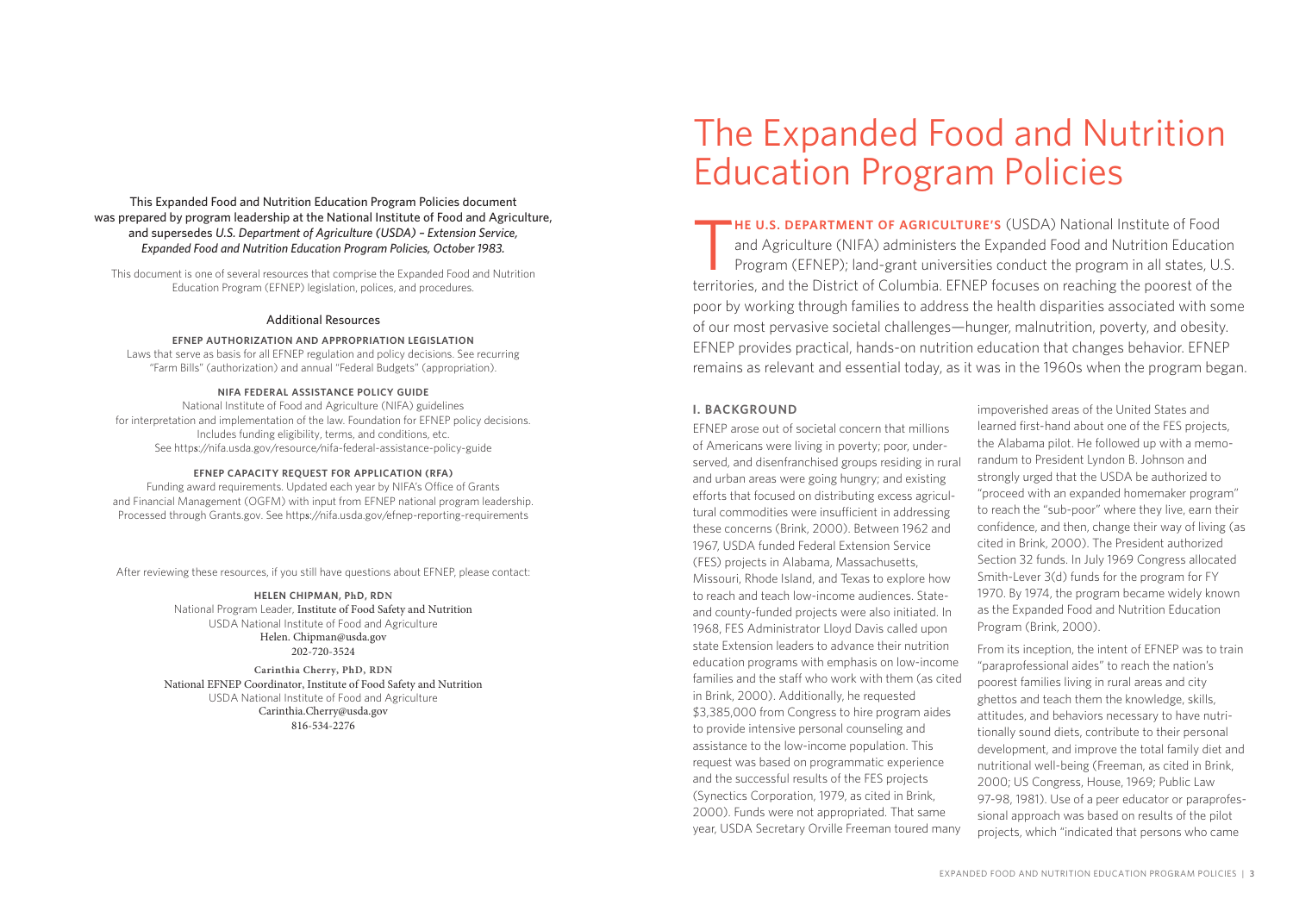This Expanded Food and Nutrition Education Program Policies document was prepared by program leadership at the National Institute of Food and Agriculture, and supersedes *U.S. Department of Agriculture (USDA) – Extension Service, Expanded Food and Nutrition Education Program Policies, October 1983.* 

This document is one of several resources that comprise the Expanded Food and Nutrition Education Program (EFNEP) legislation, polices, and procedures.

#### Additional Resources

#### **efnep aUthorization anD appropriation legiSlation**

Laws that serve as basis for all EFNEP regulation and policy decisions. See recurring "Farm Bills" (authorization) and annual "Federal Budgets" (appropriation).

#### **nifa feDeral aSSiStance policy gUiDe**

National Institute of Food and Agriculture (NIFA) guidelines for interpretation and implementation of the law. Foundation for EFNEP policy decisions. Includes funding eligibility, terms, and conditions, etc. See https://nifa.usda.gov/resource/nifa-federal-assistance-policy-guide

#### **efnep capacity reqUeSt for application (rfa)**

Funding award requirements. Updated each year by NIFA's Office of Grants and Financial Management (OGFM) with input from EFNEP national program leadership. Processed through Grants.gov. See https://nifa.usda.gov/efnep-reporting-requirements

After reviewing these resources, if you still have questions about EFNEP, please contact:

**helen chipman, phD, rDN** National Program Leader, Institute of Food Safety and Nutrition USDA National Institute of Food and Agriculture Helen. Chipman@usda.gov 202-720-3524

**Carinthia Cherry, PhD, RDN** National EFNEP Coordinator, Institute of Food Safety and Nutrition USDA National Institute of Food and Agriculture Carinthia.Cherry@usda.gov 816-534-2276

# The Expanded Food and Nutrition **Education Program Policies**

**HE U.S. DEPARTMENT OF AGRICULTURE'S** (USDA) National Institute of Food<br>and Agriculture (NIFA) administers the Expanded Food and Nutrition Education<br>Program (EFNEP); land-grant universities conduct the program in all state and Agriculture (NIFA) administers the Expanded Food and Nutrition Education Program (EFNEP); land-grant universities conduct the program in all states, U.S. territories, and the District of Columbia. EFNEP focuses on reaching the poorest of the poor by working through families to address the health disparities associated with some of our most pervasive societal challenges—hunger, malnutrition, poverty, and obesity. EFNEP provides practical, hands-on nutrition education that changes behavior. EFNEP remains as relevant and essential today, as it was in the 1960s when the program began.

## **i. BackgroUnD**

EFNEP arose out of societal concern that millions of Americans were living in poverty; poor, underserved, and disenfranchised groups residing in rural and urban areas were going hungry; and existing efforts that focused on distributing excess agricultural commodities were insufficient in addressing these concerns (Brink, 2000). Between 1962 and 1967, USDA funded Federal Extension Service (FES) projects in Alabama, Massachusetts, Missouri, Rhode Island, and Texas to explore how to reach and teach low-income audiences. Stateand county-funded projects were also initiated. In 1968, FES Administrator Lloyd Davis called upon state Extension leaders to advance their nutrition education programs with emphasis on low-income families and the staff who work with them (as cited in Brink, 2000). Additionally, he requested \$3,385,000 from Congress to hire program aides to provide intensive personal counseling and assistance to the low-income population. This request was based on programmatic experience and the successful results of the FES projects (Synectics Corporation, 1979, as cited in Brink, 2000). Funds were not appropriated. That same year, USDA Secretary Orville Freeman toured many

impoverished areas of the United States and learned first-hand about one of the FES projects, the Alabama pilot. He followed up with a memorandum to President Lyndon B. Johnson and strongly urged that the USDA be authorized to "proceed with an expanded homemaker program" to reach the "sub-poor" where they live, earn their confidence, and then, change their way of living (as cited in Brink, 2000). The President authorized Section 32 funds. In July 1969 Congress allocated Smith-Lever 3(d) funds for the program for FY 1970. By 1974, the program became widely known as the Expanded Food and Nutrition Education Program (Brink, 2000).

From its inception, the intent of EFNEP was to train "paraprofessional aides" to reach the nation's poorest families living in rural areas and city ghettos and teach them the knowledge, skills, attitudes, and behaviors necessary to have nutritionally sound diets, contribute to their personal development, and improve the total family diet and nutritional well-being (Freeman, as cited in Brink, 2000; US Congress, House, 1969; Public Law 97-98, 1981). Use of a peer educator or paraprofessional approach was based on results of the pilot projects, which "indicated that persons who came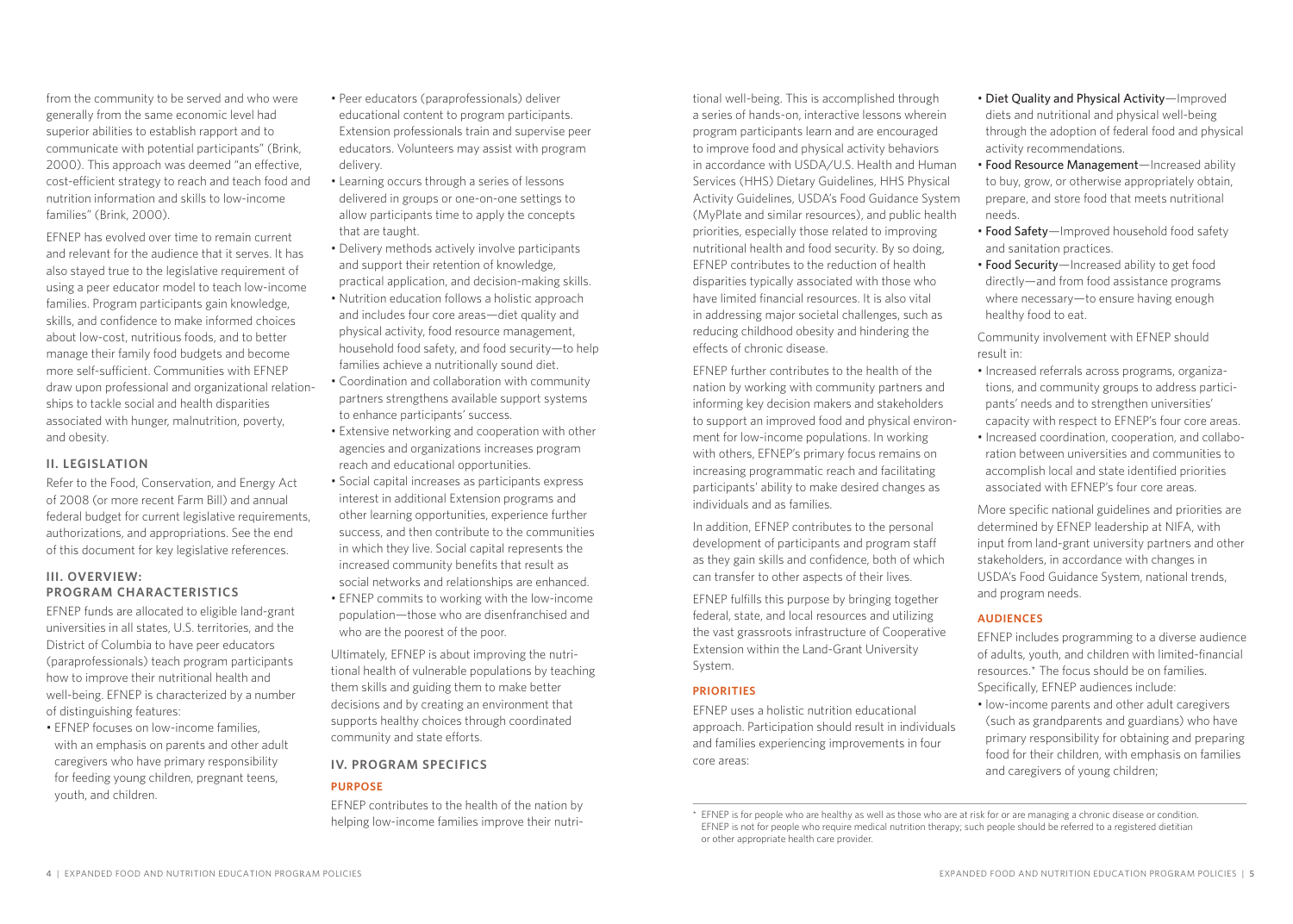from the community to be served and who were generally from the same economic level had superior abilities to establish rapport and to communicate with potential participants" (Brink, 2000). This approach was deemed "an effective, cost-efficient strategy to reach and teach food and nutrition information and skills to low-income families" (Brink, 2000).

EFNEP has evolved over time to remain current and relevant for the audience that it serves. It has also stayed true to the legislative requirement of using a peer educator model to teach low-income families. Program participants gain knowledge, skills, and confidence to make informed choices about low-cost, nutritious foods, and to better manage their family food budgets and become more self-sufficient. Communities with EFNEP draw upon professional and organizational relationships to tackle social and health disparities associated with hunger, malnutrition, poverty, and obesity.

## **ii. legiSlation**

Refer to the Food, Conservation, and Energy Act of 2008 (or more recent Farm Bill) and annual federal budget for current legislative requirements, authorizations, and appropriations. See the end of this document for key legislative references.

## **iii. overview: program characteriSticS**

EFNEP funds are allocated to eligible land-grant universities in all states, U.S. territories, and the District of Columbia to have peer educators (paraprofessionals) teach program participants how to improve their nutritional health and well-being. EFNEP is characterized by a number of distinguishing features:

• EFNEP focuses on low-income families, with an emphasis on parents and other adult caregivers who have primary responsibility for feeding young children, pregnant teens, youth, and children.

- Peer educators (paraprofessionals) deliver educational content to program participants. Extension professionals train and supervise peer educators. Volunteers may assist with program delivery.
- Learning occurs through a series of lessons delivered in groups or one-on-one settings to allow participants time to apply the concepts that are taught.
- Delivery methods actively involve participants and support their retention of knowledge, practical application, and decision-making skills.
- Nutrition education follows a holistic approach and includes four core areas—diet quality and physical activity, food resource management, household food safety, and food security—to help families achieve a nutritionally sound diet.
- Coordination and collaboration with community partners strengthens available support systems to enhance participants' success.
- Extensive networking and cooperation with other agencies and organizations increases program reach and educational opportunities.
- Social capital increases as participants express interest in additional Extension programs and other learning opportunities, experience further success, and then contribute to the communities in which they live. Social capital represents the increased community benefits that result as social networks and relationships are enhanced.
- EFNEP commits to working with the low-income population—those who are disenfranchised and who are the poorest of the poor.

Ultimately, EFNEP is about improving the nutritional health of vulnerable populations by teaching them skills and guiding them to make better decisions and by creating an environment that supports healthy choices through coordinated community and state efforts.

## **iv. program SpecificS**

## **pUrpoSe**

EFNEP contributes to the health of the nation by helping low-income families improve their nutritional well-being. This is accomplished through a series of hands-on, interactive lessons wherein program participants learn and are encouraged to improve food and physical activity behaviors in accordance with USDA/U.S. Health and Human Services (HHS) Dietary Guidelines, HHS Physical Activity Guidelines, USDA's Food Guidance System (MyPlate and similar resources), and public health priorities, especially those related to improving nutritional health and food security. By so doing, EFNEP contributes to the reduction of health disparities typically associated with those who have limited financial resources. It is also vital in addressing major societal challenges, such as reducing childhood obesity and hindering the effects of chronic disease.

EFNEP further contributes to the health of the nation by working with community partners and informing key decision makers and stakeholders to support an improved food and physical environment for low-income populations. In working with others, EFNEP's primary focus remains on increasing programmatic reach and facilitating participants' ability to make desired changes as individuals and as families.

In addition, EFNEP contributes to the personal development of participants and program staff as they gain skills and confidence, both of which can transfer to other aspects of their lives.

EFNEP fulfills this purpose by bringing together federal, state, and local resources and utilizing the vast grassroots infrastructure of Cooperative Extension within the Land-Grant University System.

## **prioritieS**

EFNEP uses a holistic nutrition educational approach. Participation should result in individuals and families experiencing improvements in four core areas:

- Diet Quality and Physical Activity—Improved diets and nutritional and physical well-being through the adoption of federal food and physical activity recommendations.
- Food Resource Management—Increased ability to buy, grow, or otherwise appropriately obtain, prepare, and store food that meets nutritional needs.
- Food Safety-Improved household food safety and sanitation practices.
- Food Security—Increased ability to get food directly—and from food assistance programs where necessary—to ensure having enough healthy food to eat.

Community involvement with EFNEP should result in:

- Increased referrals across programs, organizations, and community groups to address participants' needs and to strengthen universities' capacity with respect to EFNEP's four core areas.
- Increased coordination, cooperation, and collaboration between universities and communities to accomplish local and state identified priorities associated with EFNEP's four core areas.

More specific national guidelines and priorities are determined by EFNEP leadership at NIFA, with input from land-grant university partners and other stakeholders, in accordance with changes in USDA's Food Guidance System, national trends, and program needs.

## **aUDienceS**

EFNEP includes programming to a diverse audience of adults, youth, and children with limited-financial resources.\* The focus should be on families. Specifically, EFNEP audiences include:

• low-income parents and other adult caregivers (such as grandparents and guardians) who have primary responsibility for obtaining and preparing food for their children, with emphasis on families and caregivers of young children;

<sup>\*</sup> EFNEP is for people who are healthy as well as those who are at risk for or are managing a chronic disease or condition. EFNEP is not for people who require medical nutrition therapy; such people should be referred to a registered dietitian or other appropriate health care provider.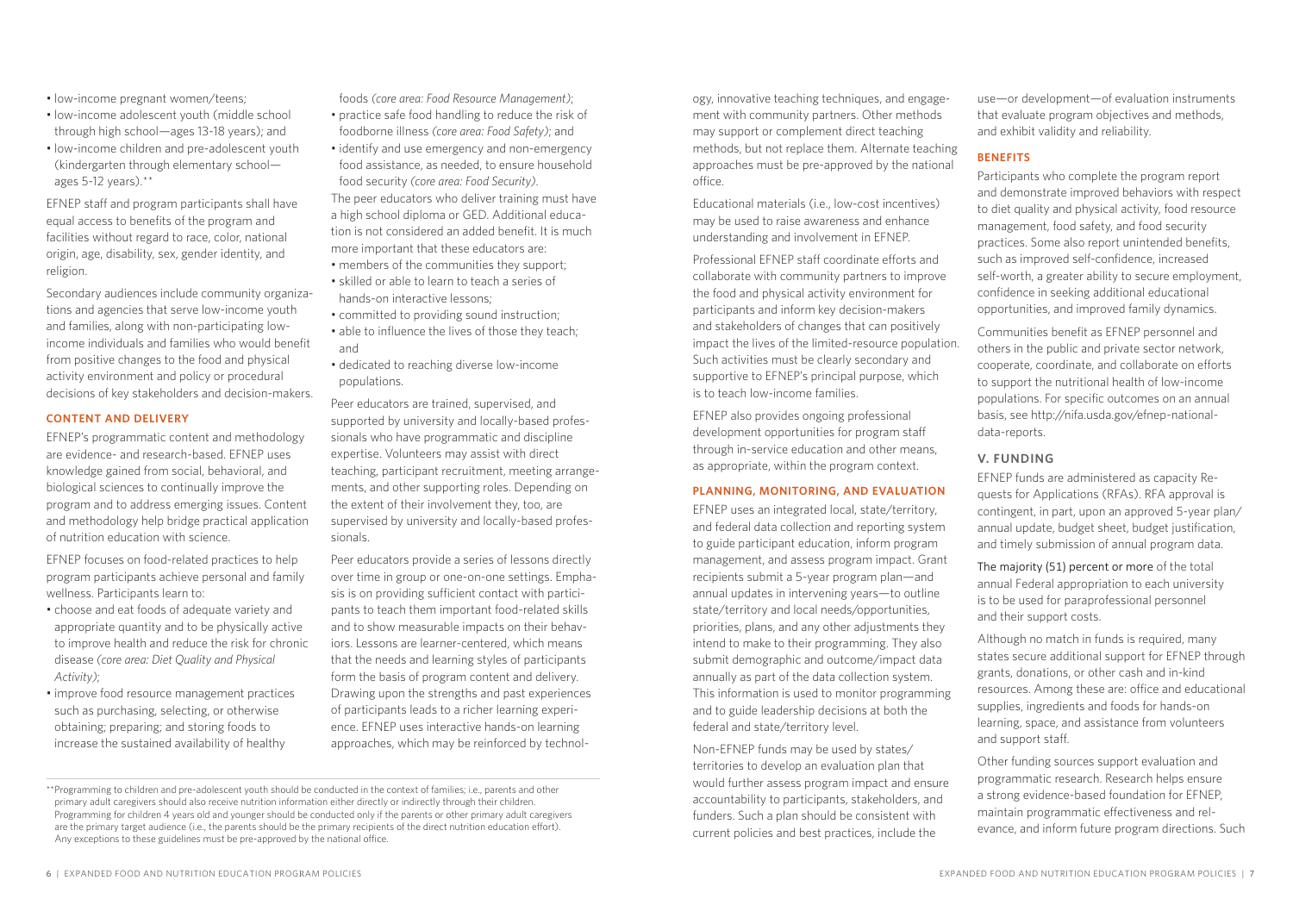- low-income pregnant women/teens;
- low-income adolescent youth (middle school through high school—ages 13-18 years); and
- low-income children and pre-adolescent youth (kindergarten through elementary school ages 5-12 years).\*\*

EFNEP staff and program participants shall have equal access to benefits of the program and facilities without regard to race, color, national origin, age, disability, sex, gender identity, and religion.

Secondary audiences include community organizations and agencies that serve low-income youth and families, along with non-participating lowincome individuals and families who would benefit from positive changes to the food and physical activity environment and policy or procedural decisions of key stakeholders and decision-makers.

## **content anD Delivery**

EFNEP's programmatic content and methodology are evidence- and research-based. EFNEP uses knowledge gained from social, behavioral, and biological sciences to continually improve the program and to address emerging issues. Content and methodology help bridge practical application of nutrition education with science.

EFNEP focuses on food-related practices to help program participants achieve personal and family wellness. Participants learn to:

- choose and eat foods of adequate variety and appropriate quantity and to be physically active to improve health and reduce the risk for chronic disease *(core area: Diet Quality and Physical Activity)*;
- improve food resource management practices such as purchasing, selecting, or otherwise obtaining; preparing; and storing foods to increase the sustained availability of healthy

foods *(core area: Food Resource Management)*;

- practice safe food handling to reduce the risk of foodborne illness *(core area: Food Safety)*; and
- identify and use emergency and non-emergency food assistance, as needed, to ensure household food security *(core area: Food Security)*.

he peer educators who deliver training must have T a high school diploma or GED. Additional education is not considered an added benefit. It is much more important that these educators are: • members of the communities they support;

- skilled or able to learn to teach a series of hands-on interactive lessons;
- committed to providing sound instruction;
- able to influence the lives of those they teach; and
- dedicated to reaching diverse low-income populations.

Peer educators are trained, supervised, and supported by university and locally-based professionals who have programmatic and discipline expertise. Volunteers may assist with direct teaching, participant recruitment, meeting arrangements, and other supporting roles. Depending on the extent of their involvement they, too, are supervised by university and locally-based profesionals. s

Peer educators provide a series of lessons directly over time in group or one-on-one settings. Emphasis is on providing sufficient contact with participants to teach them important food-related skills and to show measurable impacts on their behaviors. Lessons are learner-centered, which means hat the needs and learning styles of participants t form the basis of program content and delivery. Drawing upon the strengths and past experiences of participants leads to a richer learning experience. EFNEP uses interactive hands-on learning approaches, which may be reinforced by technol-

ogy, innovative teaching techniques, and engagement with community partners. Other methods may support or complement direct teaching methods, but not replace them. Alternate teaching approaches must be pre-approved by the national office.

Educational materials (i.e., low-cost incentives) may be used to raise awareness and enhance understanding and involvement in EFNEP.

Professional EFNEP staff coordinate efforts and collaborate with community partners to improve the food and physical activity environment for participants and inform key decision-makers and stakeholders of changes that can positively impact the lives of the limited-resource population. Such activities must be clearly secondary and supportive to EFNEP's principal purpose, which is to teach low-income families.

EFNEP also provides ongoing professional development opportunities for program staff through in-service education and other means, as appropriate, within the program context.

## **PLANNING, MONITORING, AND EVALUATION**

EFNEP uses an integrated local, state/territory, and federal data collection and reporting system to guide participant education, inform program management, and assess program impact. Grant recipients submit a 5-year program plan—and annual updates in intervening years—to outline state/territory and local needs/opportunities, priorities, plans, and any other adjustments they intend to make to their programming. They also submit demographic and outcome/impact data annually as part of the data collection system. This information is used to monitor programming and to guide leadership decisions at both the federal and state/territory level.

Non-EFNEP funds may be used by states/ territories to develop an evaluation plan that would further assess program impact and ensure accountability to participants, stakeholders, and funders. Such a plan should be consistent with current policies and best practices, include the

use—or development—of evaluation instruments that evaluate program objectives and methods, and exhibit validity and reliability.

## **BenefitS**

Participants who complete the program report and demonstrate improved behaviors with respect to diet quality and physical activity, food resource management, food safety, and food security practices. Some also report unintended benefits, such as improved self-confidence, increased self-worth, a greater ability to secure employment, confidence in seeking additional educational opportunities, and improved family dynamics.

Communities benefit as EFNEP personnel and others in the public and private sector network, cooperate, coordinate, and collaborate on efforts to support the nutritional health of low-income populations. For specific outcomes on an annual basis, see http://nifa.usda.gov/efnep-nationaldata-reports.

## **v. fUnDing**

EFNEP funds are administered as capacity Requests for Applications (RFAs). RFA approval is contingent, in part, upon an approved 5-year plan/ annual update, budget sheet, budget justification, and timely submission of annual program data.

The majority (51) percent or more of the total annual Federal appropriation to each university is to be used for paraprofessional personnel and their support costs.

Although no match in funds is required, many states secure additional support for EFNEP through grants, donations, or other cash and in-kind resources. Among these are: office and educational supplies, ingredients and foods for hands-on learning, space, and assistance from volunteers and support staff.

Other funding sources support evaluation and programmatic research. Research helps ensure a strong evidence-based foundation for EFNEP, maintain programmatic effectiveness and relevance, and inform future program directions. Such

<sup>\*\*</sup>Programming to children and pre-adolescent youth should be conducted in the context of families; i.e., parents and other primary adult caregivers should also receive nutrition information either directly or indirectly through their children. Programming for children 4 years old and younger should be conducted only if the parents or other primary adult caregivers are the primary target audience (i.e., the parents should be the primary recipients of the direct nutrition education effort). Any exceptions to these guidelines must be pre-approved by the national office.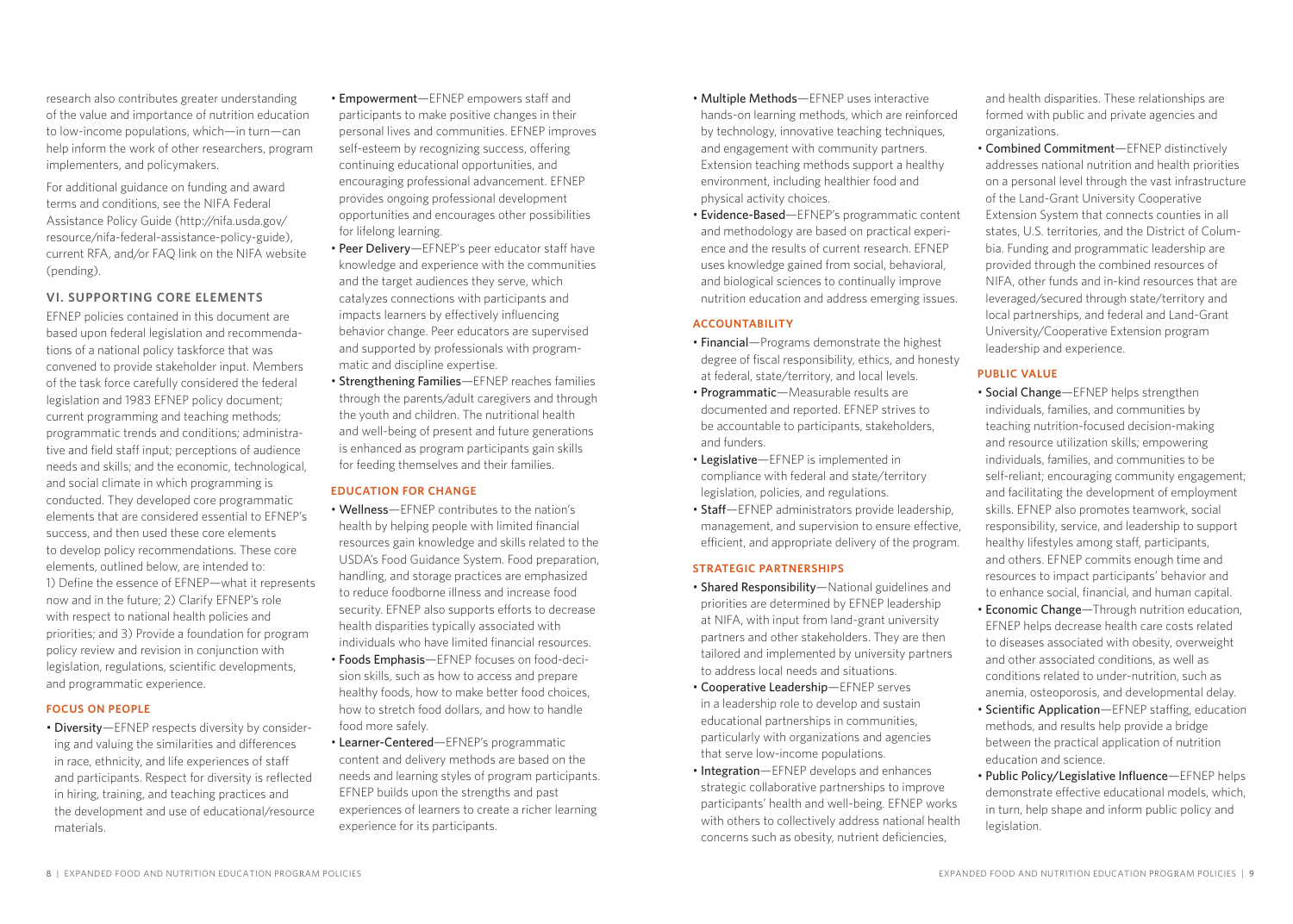research also contributes greater understanding of the value and importance of nutrition education to low-income populations, which—in turn—can help inform the work of other researchers, program implementers, and policymakers.

For additional guidance on funding and award terms and conditions, see the NIFA Federal Assistance Policy Guide (http://nifa.usda.gov/ resource/nifa-federal-assistance-policy-guide), current RFA, and/or FAQ link on the NIFA website (pending).

## **vi. SUpporting core elementS**

EFNEP policies contained in this document are based upon federal legislation and recommendations of a national policy taskforce that was convened to provide stakeholder input. Members of the task force carefully considered the federal legislation and 1983 EFNEP policy document; current programming and teaching methods; programmatic trends and conditions; administrative and field staff input; perceptions of audience needs and skills; and the economic, technological, and social climate in which programming is conducted. They developed core programmatic elements that are considered essential to EFNEP's success, and then used these core elements to develop policy recommendations. These core elements, outlined below, are intended to: 1) Define the essence of EFNEP—what it represents now and in the future; 2) Clarify EFNEP's role with respect to national health policies and priorities; and 3) Provide a foundation for program policy review and revision in conjunction with legislation, regulations, scientific developments, and programmatic experience.

## **focUS on people**

• Diversity—EFNEP respects diversity by considering and valuing the similarities and differences in race, ethnicity, and life experiences of staff and participants. Respect for diversity is reflected in hiring, training, and teaching practices and the development and use of educational/resource materials.

- Empowerment—EFNEP empowers staff and participants to make positive changes in their personal lives and communities. EFNEP improves self-esteem by recognizing success, offering continuing educational opportunities, and encouraging professional advancement. EFNEP provides ongoing professional development opportunities and encourages other possibilities for lifelong learning.
- Peer Delivery—EFNEP's peer educator staff have knowledge and experience with the communities and the target audiences they serve, which catalyzes connections with participants and impacts learners by effectively influencing behavior change. Peer educators are supervised and supported by professionals with programmatic and discipline expertise.
- Strengthening Families—EFNEP reaches families through the parents/adult caregivers and through the youth and children. The nutritional health and well-being of present and future generations is enhanced as program participants gain skills for feeding themselves and their families.

## **eDUcation for change**

- Wellness—EFNEP contributes to the nation's health by helping people with limited financial resources gain knowledge and skills related to the USDA's Food Guidance System. Food preparation, handling, and storage practices are emphasized to reduce foodborne illness and increase food security. EFNEP also supports efforts to decrease health disparities typically associated with individuals who have limited financial resources. • Foods Emphasis—EFNEP focuses on food-decision skills, such as how to access and prepare healthy foods, how to make better food choices, how to stretch food dollars, and how to handle food more safely.
- Learner-Centered—EFNEP's programmatic content and delivery methods are based on the needs and learning styles of program participants. EFNEP builds upon the strengths and past experiences of learners to create a richer learning experience for its participants.
- Multiple Methods—EFNEP uses interactive hands-on learning methods, which are reinforced by technology, innovative teaching techniques, and engagement with community partners. Extension teaching methods support a healthy environment, including healthier food and physical activity choices.
- Evidence-Based—EFNEP's programmatic content and methodology are based on practical experience and the results of current research. EFNEP uses knowledge gained from social, behavioral, and biological sciences to continually improve nutrition education and address emerging issues.

## **accoUntaBility**

- Financial—Programs demonstrate the highest degree of fiscal responsibility, ethics, and honesty at federal, state/territory, and local levels.
- Programmatic-Measurable results are documented and reported. EFNEP strives to be accountable to participants, stakeholders, and funders.
- Legislative—EFNEP is implemented in compliance with federal and state/territory legislation, policies, and regulations.
- Staff-EFNEP administrators provide leadership, management, and supervision to ensure effective, efficient, and appropriate delivery of the program.

## **Strategic partnerShipS**

- Shared Responsibility—National guidelines and priorities are determined by EFNEP leadership at NIFA, with input from land-grant university partners and other stakeholders. They are then tailored and implemented by university partners to address local needs and situations.
- Cooperative Leadership—EFNEP serves in a leadership role to develop and sustain educational partnerships in communities, particularly with organizations and agencies that serve low-income populations.
- Integration-EFNEP develops and enhances strategic collaborative partnerships to improve participants' health and well-being. EFNEP works with others to collectively address national health concerns such as obesity, nutrient deficiencies,

and health disparities. These relationships are formed with public and private agencies and organizations.

• Combined Commitment—EFNEP distinctively addresses national nutrition and health priorities on a personal level through the vast infrastructure of the Land-Grant University Cooperative Extension System that connects counties in all states, U.S. territories, and the District of Columbia. Funding and programmatic leadership are provided through the combined resources of NIFA, other funds and in-kind resources that are leveraged/secured through state/territory and local partnerships, and federal and Land-Grant University/Cooperative Extension program leadership and experience.

## **pUBlic valUe**

- Social Change—EFNEP helps strengthen individuals, families, and communities by teaching nutrition-focused decision-making and resource utilization skills; empowering individuals, families, and communities to be self-reliant; encouraging community engagement; and facilitating the development of employment skills. EFNEP also promotes teamwork, social responsibility, service, and leadership to support healthy lifestyles among staff, participants, and others. EFNEP commits enough time and resources to impact participants' behavior and to enhance social, financial, and human capital.
- Economic Change-Through nutrition education, EFNEP helps decrease health care costs related to diseases associated with obesity, overweight and other associated conditions, as well as conditions related to under-nutrition, such as anemia, osteoporosis, and developmental delay.
- Scientific Application—EFNEP staffing, education methods, and results help provide a bridge between the practical application of nutrition education and science.
- Public Policy/Legislative Influence—EFNEP helps demonstrate effective educational models, which, in turn, help shape and inform public policy and legislation.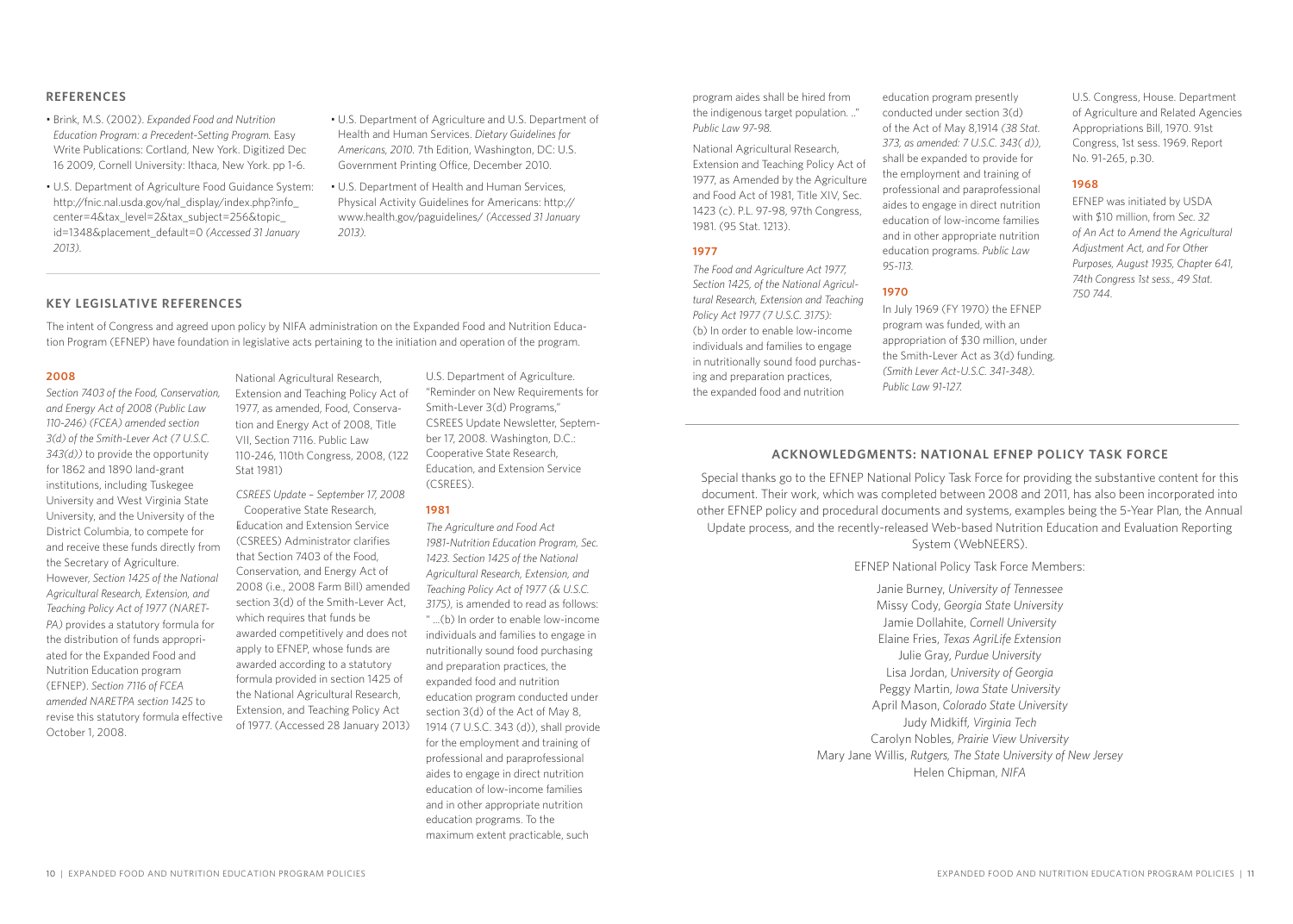## **referenceS**

- *Education Program: a Precedent-Setting Program.* Easy Health and Human Services. *Dietary Guidelines for* Write Publications: Cortland, New York. Digitized Dec *Americans, 2010.* 7th Edition, Washington, DC: U.S. 16 2009, Cornell University: Ithaca, New York. pp 1-6. Government Printing Office, December 2010.
- U.S. Department of Agriculture Food Guidance System: U.S. Department of Health and Human Services, http://fnic.nal.usda.gov/nal\_display/index.php?info\_ center=4&tax\_level=2&tax\_subject=256&topic\_ www.health.gov/paguidelines/ *(Accessed 31 January* id=1348&placement\_default=0 *(Accessed 31 January 2013). 2013).*
- Brink, M.S. (2002). *Expanded Food and Nutrition*  U.S. Department of Agriculture and U.S. Department of
	- Physical Activity Guidelines for Americans: http://

## **key legiSlative referenceS**

The intent of Congress and agreed upon policy by NIFA administration on the Expanded Food and Nutrition Education Program (EFNEP) have foundation in legislative acts pertaining to the initiation and operation of the program.

#### **2008**

*Section 7403 of the Food, Conservation, and Energy Act of 2008 (Public Law 110-246) (FCEA) amended section 3(d) of the Smith-Lever Act (7 U.S.C. 343(d))* to provide the opportunity for 1862 and 1890 land-grant institutions, including Tuskegee University and West Virginia State University, and the University of the District Columbia, to compete for and receive these funds directly from the Secretary of Agriculture. However, *Section 1425 of the National Agricultural Research, Extension, and Teaching Policy Act of 1977 (NARET-PA)* provides a statutory formula for the distribution of funds appropriated for the Expanded Food and Nutrition Education program (EFNEP). *Section 7116 of FCEA amended NARETPA section 1425* to revise this statutory formula effective October 1, 2008.

National Agricultural Research, Extension and Teaching Policy Act of 1977, as amended, Food, Conservation and Energy Act of 2008, Title VII, Section 7116. Public Law 110-246, 110th Congress, 2008, (122 Stat 1981)

*CSREES Update – September 17, 2008*  – Education and Extension Service Cooperative State Research, (CSREES) Administrator clarifies that Section 7403 of the Food, Conservation, and Energy Act of 2008 (i.e., 2008 Farm Bill) amended section 3(d) of the Smith-Lever Act, which requires that funds be awarded competitively and does not apply to EFNEP, whose funds are awarded according to a statutory formula provided in section 1425 of the National Agricultural Research, Extension, and Teaching Policy Act of 1977. (Accessed 28 January 2013)

U.S. Department of Agriculture. "Reminder on New Requirements for Smith-Lever 3(d) Programs," CSREES Update Newsletter, September 17, 2008. Washington, D.C.: Cooperative State Research, Education, and Extension Service (CSREES).

#### **1981**

*The Agriculture and Food Act 1981-Nutrition Education Program, Sec. 1423. Section 1425 of the National Agricultural Research, Extension, and Teaching Policy Act of 1977 (& U.S.C. 3175),* is amended to read as follows: " ...(b) In order to enable low-income individuals and families to engage in nutritionally sound food purchasing and preparation practices, the expanded food and nutrition education program conducted under section 3(d) of the Act of May 8, 1914 (7 U.S.C. 343 (d)), shall provide for the employment and training of professional and paraprofessional aides to engage in direct nutrition education of low-income families and in other appropriate nutrition education programs. To the maximum extent practicable, such

program aides shall be hired from the indigenous target population. .." *Public Law 97-98.* 

National Agricultural Research, Extension and Teaching Policy Act of 1977, as Amended by the Agriculture and Food Act of 1981, Title XIV, Sec. 1423 (c). P.L. 97-98, 97th Congress, 1981. (95 Stat. 1213).

#### **1977**

*The Food and Agriculture Act 1977, Section 1425, of the National Agricultural Research, Extension and Teaching Policy Act 1977 (7 U.S.C. 3175):*  (b) In order to enable low-income individuals and families to engage in nutritionally sound food purchasing and preparation practices, the expanded food and nutrition

education program presently conducted under section 3(d) of the Act of May 8,1914 *(38 Stat. 373, as amended: 7 U.S.C. 343( d)),*  shall be expanded to provide for the employment and training of professional and paraprofessional aides to engage in direct nutrition education of low-income families and in other appropriate nutrition education programs. *Public Law 95-113.* 

## **1970**

In July 1969 (FY 1970) the EFNEP program was funded, with an appropriation of \$30 million, under the Smith-Lever Act as 3(d) funding. *(Smith Lever Act-U.S.C. 341-348). Public Law 91-127.* 

U.S. Congress, House. Department of Agriculture and Related Agencies Appropriations Bill, 1970. 91st Congress, 1st sess. 1969. Report No. 91-265, p.30.

#### **1968**

EFNEP was initiated by USDA with \$10 million, from *Sec. 32 of An Act to Amend the Agricultural Adjustment Act, and For Other Purposes, August 1935, Chapter 641, 74th Congress 1st sess., 49 Stat. 750 744.* 

#### **acknowleDgmentS: national efnep policy taSk force**

Special thanks go to the EFNEP National Policy Task Force for providing the substantive content for this document. Their work, which was completed between 2008 and 2011, has also been incorporated into other EFNEP policy and procedural documents and systems, examples being the 5-Year Plan, the Annual Update process, and the recently-released Web-based Nutrition Education and Evaluation Reporting

System (WebNEERS).

EFNEP National Policy Task Force Members:

 Janie Burney, *University of Tennessee* Missy Cody, *Georgia State University* Jamie Dollahite, *Cornell University* Elaine Fries, *Texas AgriLife Extension* Julie Gray, *Purdue University* Lisa Jordan, *University of Georgia* Peggy Martin, *Iowa State University* April Mason, *Colorado State University* Judy Midkiff, *Virginia Tech* Carolyn Nobles, *Prairie View University* Mary Jane Willis, *Rutgers, The State University of New Jersey* Helen Chipman, *NIFA*